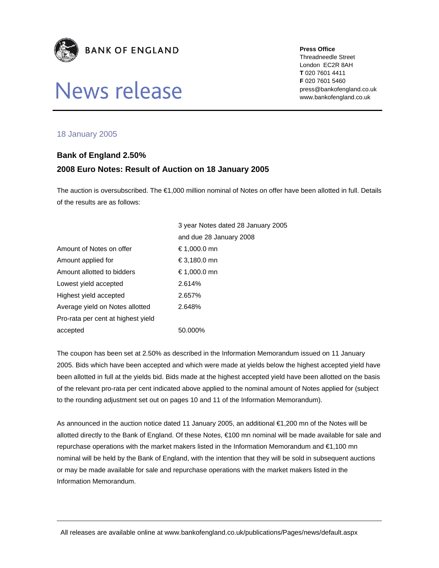

## News release

**Press Office** 

Threadneedle Street London EC2R 8AH **T** 020 7601 4411 **F** 020 7601 5460 press@bankofengland.co.uk www.bankofengland.co.uk

## 18 January 2005

## **Bank of England 2.50% 2008 Euro Notes: Result of Auction on 18 January 2005**

The auction is oversubscribed. The €1,000 million nominal of Notes on offer have been allotted in full. Details of the results are as follows:

|                                    | 3 year Notes dated 28 January 2005 |
|------------------------------------|------------------------------------|
|                                    | and due 28 January 2008            |
| Amount of Notes on offer           | € 1,000.0 mn                       |
| Amount applied for                 | €3,180.0 mn                        |
| Amount allotted to bidders         | € 1,000.0 mn                       |
| Lowest yield accepted              | 2.614%                             |
| Highest yield accepted             | 2.657%                             |
| Average yield on Notes allotted    | 2.648%                             |
| Pro-rata per cent at highest yield |                                    |
| accepted                           | 50.000%                            |

The coupon has been set at 2.50% as described in the Information Memorandum issued on 11 January 2005. Bids which have been accepted and which were made at yields below the highest accepted yield have been allotted in full at the yields bid. Bids made at the highest accepted yield have been allotted on the basis of the relevant pro-rata per cent indicated above applied to the nominal amount of Notes applied for (subject to the rounding adjustment set out on pages 10 and 11 of the Information Memorandum).

As announced in the auction notice dated 11 January 2005, an additional €1,200 mn of the Notes will be allotted directly to the Bank of England. Of these Notes, €100 mn nominal will be made available for sale and repurchase operations with the market makers listed in the Information Memorandum and €1,100 mn nominal will be held by the Bank of England, with the intention that they will be sold in subsequent auctions or may be made available for sale and repurchase operations with the market makers listed in the Information Memorandum.